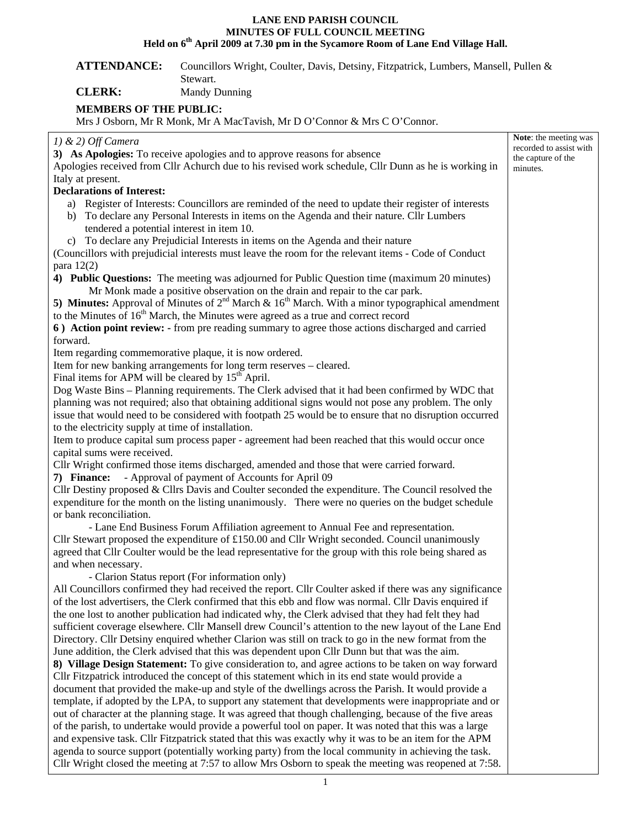## **LANE END PARISH COUNCIL MINUTES OF FULL COUNCIL MEETING**  Held on 6<sup>th</sup> April 2009 at 7.30 pm in the Sycamore Room of Lane End Village Hall.

## **ATTENDANCE:** Councillors Wright, Coulter, Davis, Detsiny, Fitzpatrick, Lumbers, Mansell, Pullen & Stewart.

**CLERK:** Mandy Dunning

## **MEMBERS OF THE PUBLIC:**

Mrs J Osborn, Mr R Monk, Mr A MacTavish, Mr D O'Connor & Mrs C O'Connor.

| $1)$ & 2) Off Camera                                                                                      | Note: the meeting was          |
|-----------------------------------------------------------------------------------------------------------|--------------------------------|
| 3) As Apologies: To receive apologies and to approve reasons for absence                                  | recorded to assist with        |
| Apologies received from Cllr Achurch due to his revised work schedule, Cllr Dunn as he is working in      | the capture of the<br>minutes. |
| Italy at present.                                                                                         |                                |
| <b>Declarations of Interest:</b>                                                                          |                                |
| a) Register of Interests: Councillors are reminded of the need to update their register of interests      |                                |
| b) To declare any Personal Interests in items on the Agenda and their nature. Cllr Lumbers                |                                |
| tendered a potential interest in item 10.                                                                 |                                |
| c) To declare any Prejudicial Interests in items on the Agenda and their nature                           |                                |
| (Councillors with prejudicial interests must leave the room for the relevant items - Code of Conduct      |                                |
| para $12(2)$                                                                                              |                                |
| 4) Public Questions: The meeting was adjourned for Public Question time (maximum 20 minutes)              |                                |
| Mr Monk made a positive observation on the drain and repair to the car park.                              |                                |
| 5) Minutes: Approval of Minutes of $2^{nd}$ March & $16^{th}$ March. With a minor typographical amendment |                                |
| to the Minutes of 16 <sup>th</sup> March, the Minutes were agreed as a true and correct record            |                                |
| 6) Action point review: - from pre reading summary to agree those actions discharged and carried          |                                |
| forward.                                                                                                  |                                |
| Item regarding commemorative plaque, it is now ordered.                                                   |                                |
| Item for new banking arrangements for long term reserves - cleared.                                       |                                |
| Final items for APM will be cleared by $15th$ April.                                                      |                                |
| Dog Waste Bins - Planning requirements. The Clerk advised that it had been confirmed by WDC that          |                                |
| planning was not required; also that obtaining additional signs would not pose any problem. The only      |                                |
| issue that would need to be considered with footpath 25 would be to ensure that no disruption occurred    |                                |
| to the electricity supply at time of installation.                                                        |                                |
| Item to produce capital sum process paper - agreement had been reached that this would occur once         |                                |
| capital sums were received.                                                                               |                                |
| Cllr Wright confirmed those items discharged, amended and those that were carried forward.                |                                |
| 7) Finance: - Approval of payment of Accounts for April 09                                                |                                |
| Cllr Destiny proposed $\&$ Cllrs Davis and Coulter seconded the expenditure. The Council resolved the     |                                |
| expenditure for the month on the listing unanimously. There were no queries on the budget schedule        |                                |
| or bank reconciliation.                                                                                   |                                |
| - Lane End Business Forum Affiliation agreement to Annual Fee and representation.                         |                                |
| Cllr Stewart proposed the expenditure of $£150.00$ and Cllr Wright seconded. Council unanimously          |                                |
| agreed that Cllr Coulter would be the lead representative for the group with this role being shared as    |                                |
| and when necessary.                                                                                       |                                |
| - Clarion Status report (For information only)                                                            |                                |
| All Councillors confirmed they had received the report. Cllr Coulter asked if there was any significance  |                                |
| of the lost advertisers, the Clerk confirmed that this ebb and flow was normal. Cllr Davis enquired if    |                                |
| the one lost to another publication had indicated why, the Clerk advised that they had felt they had      |                                |
| sufficient coverage elsewhere. Cllr Mansell drew Council's attention to the new layout of the Lane End    |                                |
| Directory. Cllr Detsiny enquired whether Clarion was still on track to go in the new format from the      |                                |
| June addition, the Clerk advised that this was dependent upon Cllr Dunn but that was the aim.             |                                |
| 8) Village Design Statement: To give consideration to, and agree actions to be taken on way forward       |                                |
| Cllr Fitzpatrick introduced the concept of this statement which in its end state would provide a          |                                |
| document that provided the make-up and style of the dwellings across the Parish. It would provide a       |                                |
| template, if adopted by the LPA, to support any statement that developments were inappropriate and or     |                                |
| out of character at the planning stage. It was agreed that though challenging, because of the five areas  |                                |
| of the parish, to undertake would provide a powerful tool on paper. It was noted that this was a large    |                                |
| and expensive task. Cllr Fitzpatrick stated that this was exactly why it was to be an item for the APM    |                                |
| agenda to source support (potentially working party) from the local community in achieving the task.      |                                |
| Cllr Wright closed the meeting at 7:57 to allow Mrs Osborn to speak the meeting was reopened at 7:58.     |                                |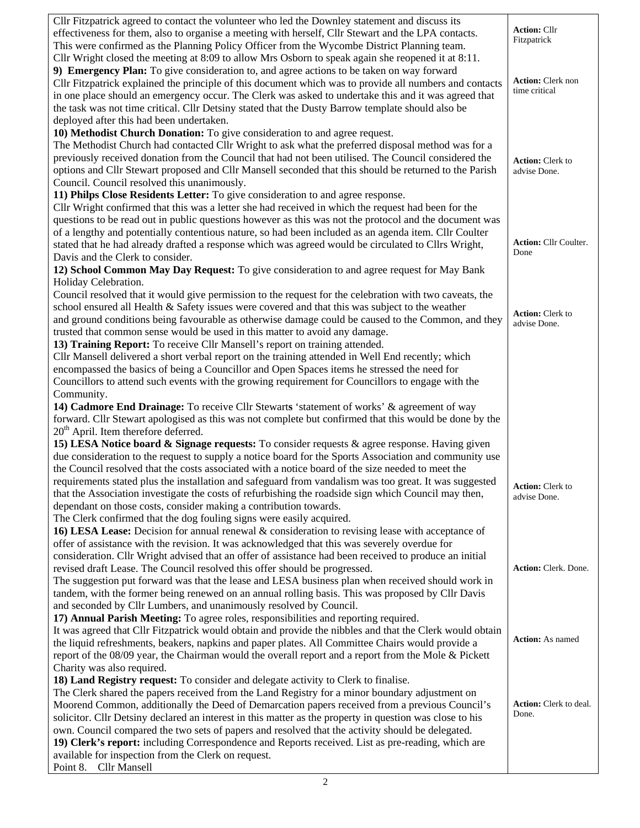| Cllr Fitzpatrick agreed to contact the volunteer who led the Downley statement and discuss its           |                               |
|----------------------------------------------------------------------------------------------------------|-------------------------------|
| effectiveness for them, also to organise a meeting with herself, Cllr Stewart and the LPA contacts.      | <b>Action: Cllr</b>           |
| This were confirmed as the Planning Policy Officer from the Wycombe District Planning team.              | Fitzpatrick                   |
| Cllr Wright closed the meeting at 8:09 to allow Mrs Osborn to speak again she reopened it at 8:11.       |                               |
| 9) Emergency Plan: To give consideration to, and agree actions to be taken on way forward                |                               |
| Cllr Fitzpatrick explained the principle of this document which was to provide all numbers and contacts  | <b>Action:</b> Clerk non      |
| in one place should an emergency occur. The Clerk was asked to undertake this and it was agreed that     | time critical                 |
| the task was not time critical. Cllr Detsiny stated that the Dusty Barrow template should also be        |                               |
| deployed after this had been undertaken.                                                                 |                               |
| 10) Methodist Church Donation: To give consideration to and agree request.                               |                               |
| The Methodist Church had contacted Cllr Wright to ask what the preferred disposal method was for a       |                               |
| previously received donation from the Council that had not been utilised. The Council considered the     |                               |
| options and Cllr Stewart proposed and Cllr Mansell seconded that this should be returned to the Parish   | <b>Action:</b> Clerk to       |
|                                                                                                          | advise Done.                  |
| Council. Council resolved this unanimously.                                                              |                               |
| 11) Philps Close Residents Letter: To give consideration to and agree response.                          |                               |
| Cllr Wright confirmed that this was a letter she had received in which the request had been for the      |                               |
| questions to be read out in public questions however as this was not the protocol and the document was   |                               |
| of a lengthy and potentially contentious nature, so had been included as an agenda item. Cllr Coulter    | <b>Action: Cllr Coulter.</b>  |
| stated that he had already drafted a response which was agreed would be circulated to Cllrs Wright,      | Done                          |
| Davis and the Clerk to consider.                                                                         |                               |
| 12) School Common May Day Request: To give consideration to and agree request for May Bank               |                               |
| Holiday Celebration.                                                                                     |                               |
| Council resolved that it would give permission to the request for the celebration with two caveats, the  |                               |
| school ensured all Health $\&$ Safety issues were covered and that this was subject to the weather       | <b>Action:</b> Clerk to       |
| and ground conditions being favourable as otherwise damage could be caused to the Common, and they       | advise Done.                  |
| trusted that common sense would be used in this matter to avoid any damage.                              |                               |
| 13) Training Report: To receive Cllr Mansell's report on training attended.                              |                               |
| Cllr Mansell delivered a short verbal report on the training attended in Well End recently; which        |                               |
| encompassed the basics of being a Councillor and Open Spaces items he stressed the need for              |                               |
| Councillors to attend such events with the growing requirement for Councillors to engage with the        |                               |
| Community.                                                                                               |                               |
| 14) Cadmore End Drainage: To receive Cllr Stewarts 'statement of works' & agreement of way               |                               |
| forward. Cllr Stewart apologised as this was not complete but confirmed that this would be done by the   |                               |
| $20th$ April. Item therefore deferred.                                                                   |                               |
| 15) LESA Notice board & Signage requests: To consider requests & agree response. Having given            |                               |
| due consideration to the request to supply a notice board for the Sports Association and community use   |                               |
| the Council resolved that the costs associated with a notice board of the size needed to meet the        |                               |
| requirements stated plus the installation and safeguard from vandalism was too great. It was suggested   |                               |
| that the Association investigate the costs of refurbishing the roadside sign which Council may then,     | <b>Action:</b> Clerk to       |
| dependant on those costs, consider making a contribution towards.                                        | advise Done.                  |
| The Clerk confirmed that the dog fouling signs were easily acquired.                                     |                               |
|                                                                                                          |                               |
| 16) LESA Lease: Decision for annual renewal $\&$ consideration to revising lease with acceptance of      |                               |
| offer of assistance with the revision. It was acknowledged that this was severely overdue for            |                               |
| consideration. Cllr Wright advised that an offer of assistance had been received to produce an initial   |                               |
| revised draft Lease. The Council resolved this offer should be progressed.                               | Action: Clerk. Done.          |
| The suggestion put forward was that the lease and LESA business plan when received should work in        |                               |
| tandem, with the former being renewed on an annual rolling basis. This was proposed by Cllr Davis        |                               |
| and seconded by Cllr Lumbers, and unanimously resolved by Council.                                       |                               |
| 17) Annual Parish Meeting: To agree roles, responsibilities and reporting required.                      |                               |
| It was agreed that Cllr Fitzpatrick would obtain and provide the nibbles and that the Clerk would obtain | <b>Action:</b> As named       |
| the liquid refreshments, beakers, napkins and paper plates. All Committee Chairs would provide a         |                               |
| report of the 08/09 year, the Chairman would the overall report and a report from the Mole & Pickett     |                               |
| Charity was also required.                                                                               |                               |
| 18) Land Registry request: To consider and delegate activity to Clerk to finalise.                       |                               |
| The Clerk shared the papers received from the Land Registry for a minor boundary adjustment on           |                               |
| Moorend Common, additionally the Deed of Demarcation papers received from a previous Council's           | <b>Action:</b> Clerk to deal. |
| solicitor. Cllr Detsiny declared an interest in this matter as the property in question was close to his | Done.                         |
| own. Council compared the two sets of papers and resolved that the activity should be delegated.         |                               |
| 19) Clerk's report: including Correspondence and Reports received. List as pre-reading, which are        |                               |
| available for inspection from the Clerk on request.                                                      |                               |
| Point 8. Cllr Mansell                                                                                    |                               |